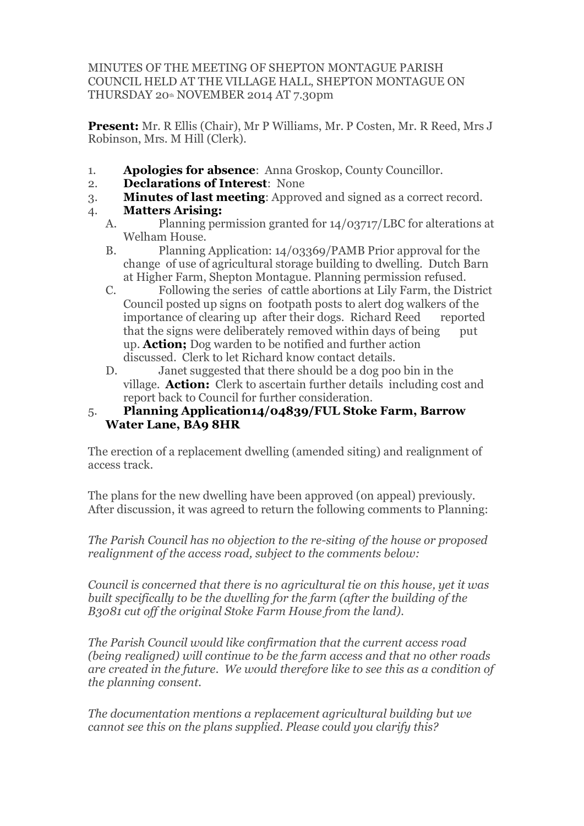MINUTES OF THE MEETING OF SHEPTON MONTAGUE PARISH COUNCIL HELD AT THE VILLAGE HALL, SHEPTON MONTAGUE ON THURSDAY 20th NOVEMBER 2014 AT 7.30pm

**Present:** Mr. R Ellis (Chair), Mr P Williams, Mr. P Costen, Mr. R Reed, Mrs J Robinson, Mrs. M Hill (Clerk).

- 1. **Apologies for absence**: Anna Groskop, County Councillor.
- 2. **Declarations of Interest**: None
- 3. **Minutes of last meeting**: Approved and signed as a correct record.
- 4. **Matters Arising:**
	- A. Planning permission granted for 14/03717/LBC for alterations at Welham House.
	- B. Planning Application: 14/03369/PAMB Prior approval for the change of use of agricultural storage building to dwelling. Dutch Barn at Higher Farm, Shepton Montague. Planning permission refused.
	- C. Following the series of cattle abortions at Lily Farm, the District Council posted up signs on footpath posts to alert dog walkers of the importance of clearing up after their dogs. Richard Reed reported that the signs were deliberately removed within days of being put up. **Action;** Dog warden to be notified and further action discussed. Clerk to let Richard know contact details.
	- D. Janet suggested that there should be a dog poo bin in the village. **Action:** Clerk to ascertain further details including cost and report back to Council for further consideration.

## 5. **Planning Application14/04839/FUL Stoke Farm, Barrow Water Lane, BA9 8HR**

The erection of a replacement dwelling (amended siting) and realignment of access track.

The plans for the new dwelling have been approved (on appeal) previously. After discussion, it was agreed to return the following comments to Planning:

*The Parish Council has no objection to the re-siting of the house or proposed realignment of the access road, subject to the comments below:*

*Council is concerned that there is no agricultural tie on this house, yet it was built specifically to be the dwelling for the farm (after the building of the B3081 cut off the original Stoke Farm House from the land).*

*The Parish Council would like confirmation that the current access road (being realigned) will continue to be the farm access and that no other roads are created in the future. We would therefore like to see this as a condition of the planning consent.*

*The documentation mentions a replacement agricultural building but we cannot see this on the plans supplied. Please could you clarify this?*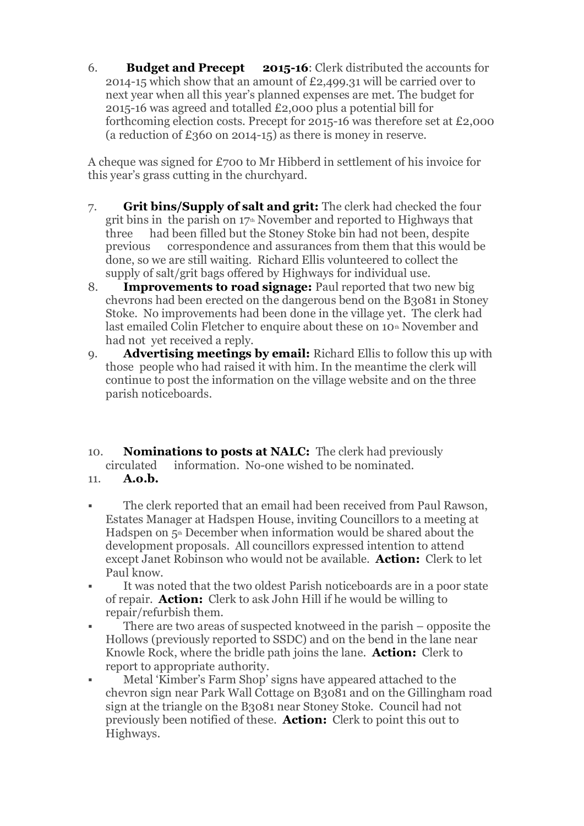6. **Budget and Precept 2015-16**: Clerk distributed the accounts for 2014-15 which show that an amount of £2,499.31 will be carried over to next year when all this year's planned expenses are met. The budget for 2015-16 was agreed and totalled £2,000 plus a potential bill for forthcoming election costs. Precept for 2015-16 was therefore set at £2,000 (a reduction of  $£360$  on 2014-15) as there is money in reserve.

A cheque was signed for £700 to Mr Hibberd in settlement of his invoice for this year's grass cutting in the churchyard.

- 7. **Grit bins/Supply of salt and grit:** The clerk had checked the four grit bins in the parish on  $17<sup>th</sup>$  November and reported to Highways that three had been filled but the Stoney Stoke bin had not been, despite previous correspondence and assurances from them that this would be done, so we are still waiting. Richard Ellis volunteered to collect the supply of salt/grit bags offered by Highways for individual use.
- 8. **Improvements to road signage:** Paul reported that two new big chevrons had been erected on the dangerous bend on the B3081 in Stoney Stoke. No improvements had been done in the village yet. The clerk had last emailed Colin Fletcher to enquire about these on 10<sup>th</sup> November and had not yet received a reply.
- 9. **Advertising meetings by email:** Richard Ellis to follow this up with those people who had raised it with him. In the meantime the clerk will continue to post the information on the village website and on the three parish noticeboards.
- 10. **Nominations to posts at NALC:** The clerk had previously circulated information. No-one wished to be nominated.
- 11. **A.o.b.**
- The clerk reported that an email had been received from Paul Rawson, Estates Manager at Hadspen House, inviting Councillors to a meeting at Hadspen on  $5<sup>th</sup>$  December when information would be shared about the development proposals. All councillors expressed intention to attend except Janet Robinson who would not be available. **Action:** Clerk to let Paul know.
- § It was noted that the two oldest Parish noticeboards are in a poor state of repair. **Action:** Clerk to ask John Hill if he would be willing to repair/refurbish them.
- There are two areas of suspected knotweed in the parish opposite the Hollows (previously reported to SSDC) and on the bend in the lane near Knowle Rock, where the bridle path joins the lane. **Action:** Clerk to report to appropriate authority.
- § Metal 'Kimber's Farm Shop' signs have appeared attached to the chevron sign near Park Wall Cottage on B3081 and on the Gillingham road sign at the triangle on the B3081 near Stoney Stoke. Council had not previously been notified of these. **Action:** Clerk to point this out to Highways.